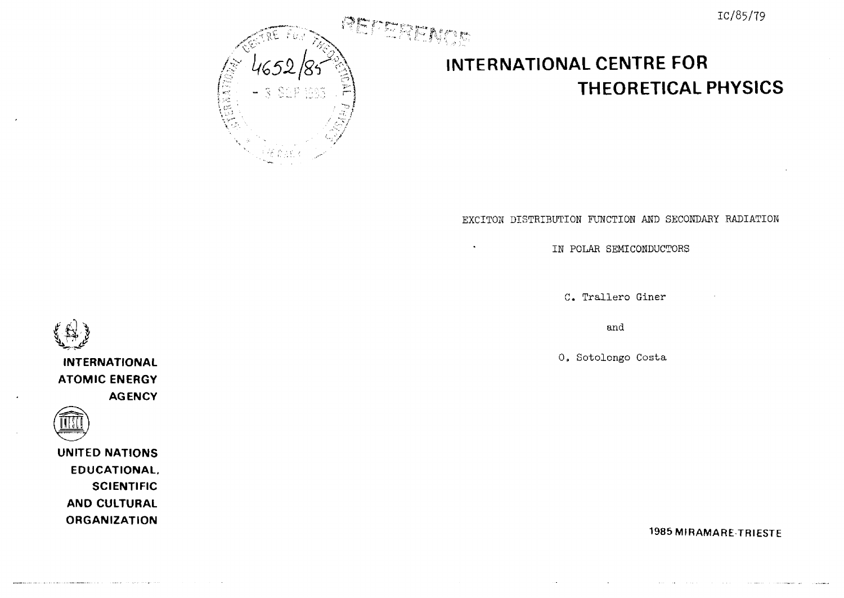

# INTERNATIONAL CENTRE FOR THEORETICAL PHYSICS

EXCITON DISTRIBUTION FUNCTION AND SECONDARY RADIATION

IN POLAR SEMICONDUCTORS

 $\bullet$ 

C. Trallero Giner

and

0. Sotolongo Costa

## 1985 MIRAMARE-TRIESTE



EDUCATIONAL, **SCIENTIFIC** AND CULTURAL **ORGANIZATION**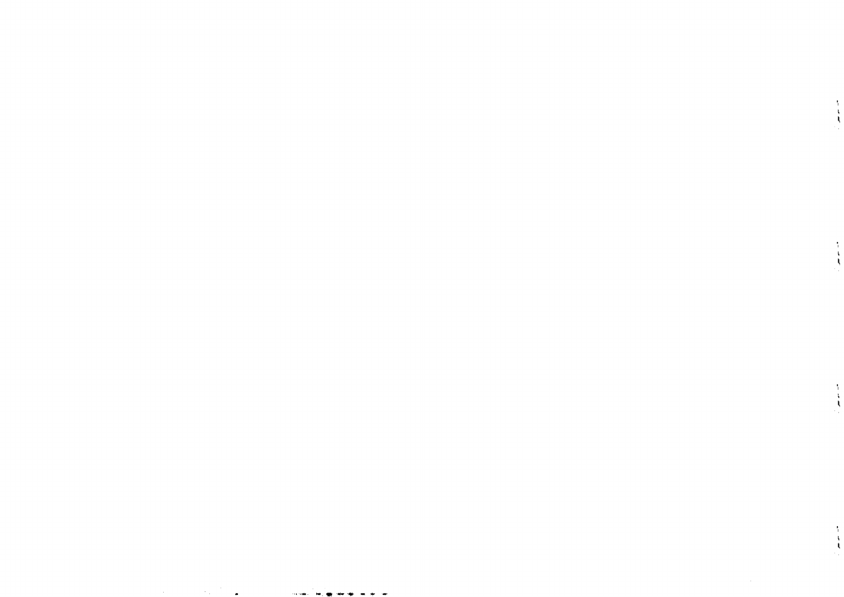consumer and the companies of the companies of the companies of the companies of the companies of the companies of the companies of the companies of the companies of the companies of the companies of the companies of the c  $\bullet$  .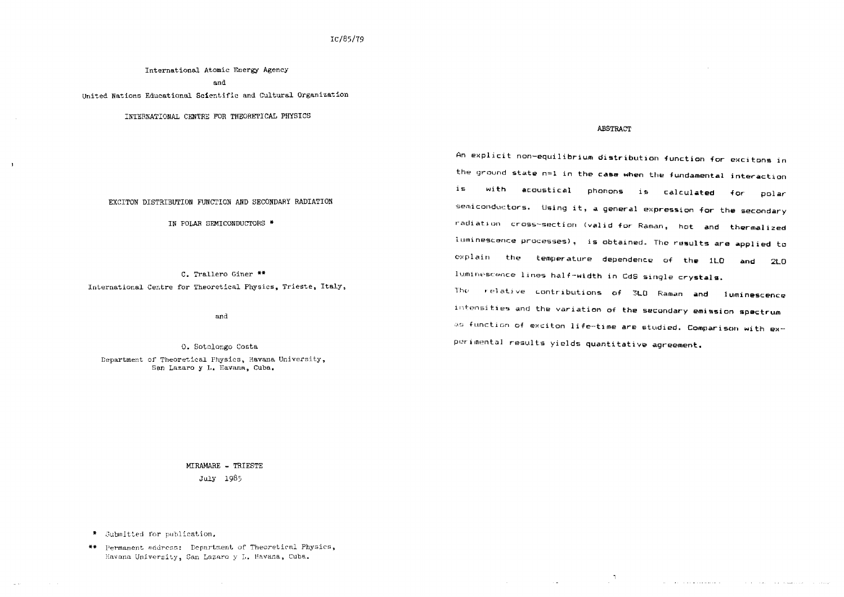### IC/85/T9

International Atomic Energy Agency and United Nations Educational Scientific and Cultural Organization

#### INTERNATIONAL CEHTRE FOE THEORETICAL PHYSICS

#### ABSTRACT

An explicit non-equilibrium distribution function for excitons in the ground state  $n=1$  in the case when the fundamental interaction is with acoustical phonons is calculated for polar semiconductors. Using it , a general expression for the secondary radiation cross—section (valid for Raman, hot and thermaliaed luminescence processes), is obtained. The results *Are* applied to explain the temperature dependence of the 1L0 and 2L0 luminescence lines half-width in CdS single crystals.

The relative contributions of 3LO Raman and luminescence intensities and the variation of the secondary emission spectrum *a^ f* unc 11 on of exciton life—time *ar&* studied. Comparison with ex-" parimental results yields quantitative agreement.

EXCITON DISTRIBUTION FUNCTION AND SECONDARY RADIATION

 $\mathbf{I}$ 

IH POLAR SEMICONDUCTORS \*

C. Trallero Giner \*\* International Centre for Theoretical Physics, Trieste, Italy,

and

0. Botolongo Costa Department of Theoretical Physics, Havana University, San Lazaro y L. Havana, Cuba.

> MIRAHARE - TRIESTE July 1985

- \* ^ubnitted for publication,
- \*\* Permanent address: Department of Theoretical Physics, Havana University, San Lazaro y L. Havana, Cuba.

 $\sim$ 

 $\mathcal{L}_{\mathcal{A}}$  and  $\mathcal{L}_{\mathcal{A}}$  are the set of  $\mathcal{L}_{\mathcal{A}}$  and  $\mathcal{L}_{\mathcal{A}}$ the company of the company of the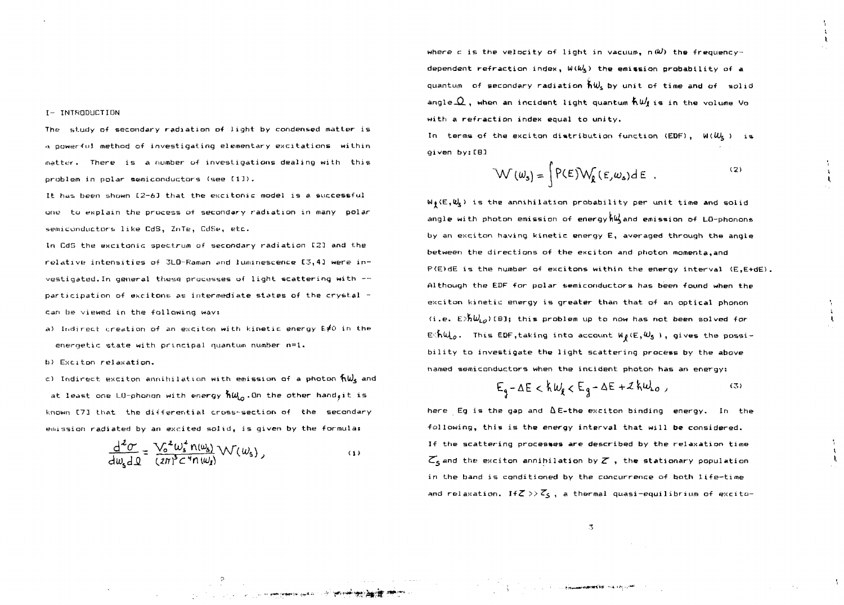#### I- INTRODUCTION

The study of secondary radiation of light by condensed matter is a powerful method of investigating elementary excitations within matter. There is a number of investigations dealing with this problem in polar semiconductors (see Cil),

It has been shown  $(2-63$  that the excitonic model is a successful one to explain the process of secondary radiation in many polar semiconductors like CdS, ZnTe, CdSe, etc.

In CdS the excitonic spectrum at secondary radiation C23 and the relative intensities of 3LO-Raman and luminescence [3,4] were investigated. In general these processes of light scattering with  $-\frac{1}{2}$ participation of excitons as intermediate states of the crystal  $$ can be viewed in the following way:

a) Indirect creation of an exciton with kinetic energy E $\neq$ O in the energetic state with principal quantum number n=l.

b) Extiton relaxation,

c) Indirect exciton annihilation with emission of a photon  $\not\uparrow$   $W_s$  and at least one LO-phonon with energy  $\hbar\omega_{\text{L}}$ . On the other hand, it is known C7J Lhat the differential cross-section of the secondary emission radiated by an excited solid, is given by the formulas

$$
\frac{d^2\sigma}{dw_s d\theta} = \frac{\sqrt{s}^2 \omega_s^2 n(\omega_s)}{(z\pi)^3 C^4 n(\omega_s)} \mathcal{W}(\omega_s)
$$
 (1)

where c is the velocity of light in vacuum,  $n(\mathcal{W})$  the frequencydependent refraction index,  $W(\hat{\mathcal{U}}_{\bullet})$  the emission probability of a quantum of secondary radiation  $\hbar w_s$  by unit of time and of solid angle  $\Omega$ , when an incident light quantum  $\hbar \Psi_{\rm f}$  is in the volume Vo with a refraction index equal to unity.

In terms of the exciton distribution function (EDF),  $W(U_{k}^-)$  is given by;CB3

$$
W(\omega_{s}) = \int P(E) W_{\rho}(E, \omega_{s}) dE
$$
 (2)

 $W_{\phi}(\mathbb{E},\mathbb{U}_{\xi})$  is the annihilation probability per unit time and solid angle with photon emission of energy  $h\mathcal{U}_0$  and emission of LO-phonons by an exciton having kinetic energy E, averaged through the angle between the directions of the exciton and photon momenta,and P(E)dE is the number of excitons within the energy interval (E,E+dE). Although the EDF for polar semiconductors has been found when the exciton kinetic energy is greater than that of an optical phonon (i.e.  $\mathbb{E} \setminus \mathsf{h} \mathsf{W}_{\mathsf{L} \rho}$ ) [8]; this problem up to now has not been solved for  $\mathsf{E}\triangleleft\mathsf{M}\setminus\mathsf{A}$ . This EDF,taking into account  $\mathsf{W}_{\varphi}(\mathsf{E},\mathsf{W}_{\mathsf{S}}$  ), gives the possibility to investigate the light scattering process by the above named semiconductors when the incident photon has an energy:

$$
E_g - \Delta E < \hbar \omega_g < E_g - \Delta E + 2 \hbar \omega_{\Delta g} \tag{3}
$$

here Eg is the gap and  $\Delta$ E-the exciton binding energy. In the following, this is the energy interval that will be considered. If the scattering processes are described by the relaxation time  $\overline{\mathcal{L}}_5$  and the exciton annihilation by  $\overline{\mathcal{L}}$  , the stationary population in the band is conditioned by the concurrence of both life-time and relaxation. If $\zeta>> \zeta$ , a thermal quasi-equilibrium of excito-

3

**Commentation in the comment**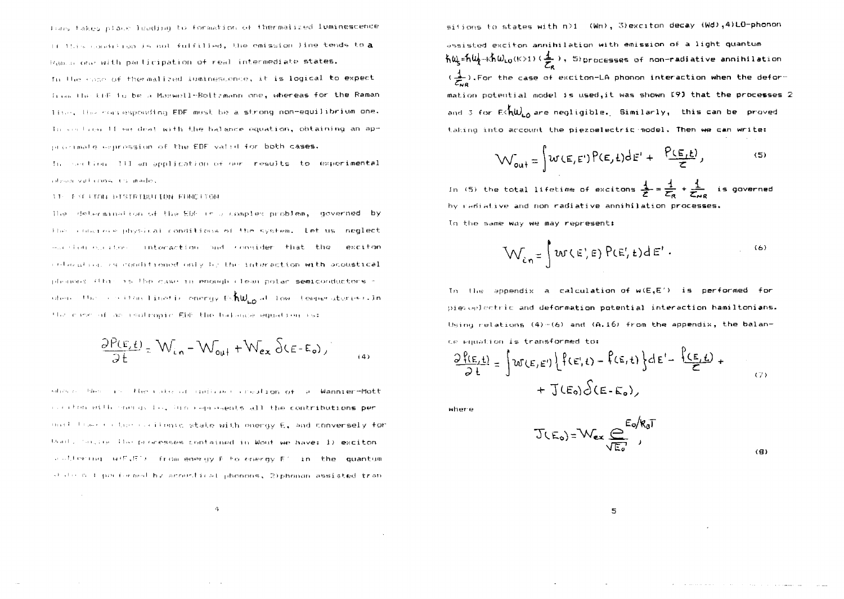lows takes place leading to formation of thermalized luminescence If this condition is not fulfilled. the emission line tends to a Ramor one with participation of real intermediate states.

In the case of thermalized luminescence, it is logical to expect in an the tiff for be a Maxwell-Boltzmann one, whereas for the Raman live, the concessoration EDF must be a strong non-equilibrium one. In section II we deal with the halance equation, obtaining an apof colmate connession of the EDF valid for both cases.

In section III an application of our results to experimental ideas valuable in made.

**IT FYLITOG DISTRIBUTION FUNCTION** 

He determination of the EDF is a complex problem, governed by the concrete physical conditions of the system. Let us, neglect warried oursides interaction and consider that the exciton induced car is conditioned only by the interaction with acoustical phenons (this is the case in enough clean polar semiconductors when the costion linetic energy  $\mathbb{E}[\mathbf{\hat{h}}|\mathbf{W}_{\text{c}}]$  at low (emperatures). In the circumstance sediments EDF the balance empation is:

$$
\frac{\partial P(\mathbf{E},t)}{\partial t} = W_{in} - W_{out} + W_{ex} \, \delta(\mathbf{E} - \mathbf{E}_0) \tag{4}
$$

shown these is the category considered considering of a Wannier-Mott is item will compute in the non-magnitudition contributions per most there there is itemed state with energy E. and conversely for Unit, this it is processes contained in Wout we have: 1) exciton wellering w'F.F.) from energy F to energy E' in the quantum at during tips for seal by accountingly phonons, 2) phonon assisted tran

sitions to states with n>1 (Wn), 3)exciton decay (Wd), 4) LO-phonon assisted exciton annihilation with emission of a light quantum  $h\omega_{s} = h\omega_{t} + h\omega_{L0}(\kappa > 1)$  ( $\frac{4}{\zeta_{g}}$ ), S) processes of non-radiative annihilation . For the case of exciton-LA phonon interaction when the deform mation potential model is used,it was shown [9] that the processes 2 and 3 for  $\epsilon \langle h \psi_{\text{L}\alpha} \rangle$  are negligible. Similarly, this can be proved taking into account the piezoelectric model. Then we can write:

$$
\mathcal{W}_{out} = \int w(\epsilon, \epsilon') P(\epsilon, t) d\epsilon' + \frac{P(\epsilon, t)}{\epsilon}, \qquad (5)
$$

In (5) the total lifetime of excitons  $\frac{1}{Z} = \frac{1}{Z_{\text{R}}} + \frac{1}{Z_{\text{R}}}$  is governed by rediative and non-radiative annihilation processes. In the same way we may represent:

$$
W_{\varepsilon n} = \int w(\varepsilon, \varepsilon) P(\varepsilon, t) d\varepsilon' \tbinom{1}{\varepsilon} \tag{6}
$$

In the appendix a calculation of w(E,E') is performed for piezoelectric and deformation potential interaction hamiltonians. Using relations  $(4)-(6)$  and  $(4.16)$  from the appendix, the balance equation is transformed to:  $\sim$ 

$$
\frac{\partial f(\mathbf{E},t)}{\partial t} = \int w(\mathbf{E},\mathbf{E}') \{f(\mathbf{E}',t) - f(\mathbf{E},t)\} dE' - \frac{f(\mathbf{E},t)}{\epsilon} + \frac{1}{\epsilon}
$$
\n
$$
+ \int (\mathbf{E}_0) \delta(\mathbf{E} - \mathbf{E}_0), \qquad (7)
$$

5

where

$$
J(E_0) = W_{ex} \underbrace{E_0 / R_0 T}_{\sqrt{E_0}},
$$
\n(8)

the contract and contract and contract to

 $\alpha$ 

**Service**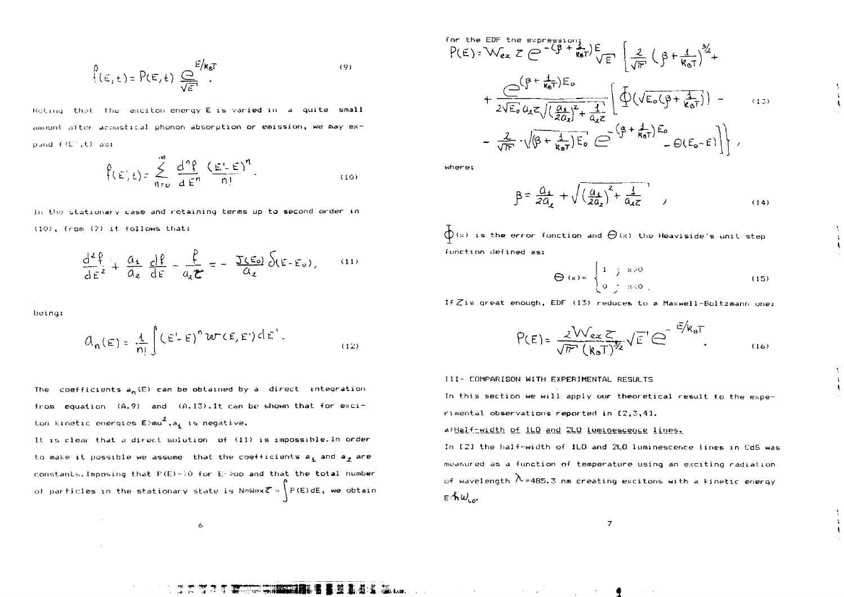$$
\mathfrak{f}(\epsilon, t) = P(\epsilon, t) \underbrace{\underset{\sqrt{\epsilon}}{\bigcirc}}_{\sqrt{\overline{\epsilon}}} \mathfrak{E}/\mathbf{k}_{\overline{\mathbf{s}}T}
$$
 (9)

Noting that the eaciton energy E is varied in a quite small ampunt after acoustical phonon absorption or emission, we may expand f(E',t) as:

$$
\beta(\mathbf{E},t) = \sum_{n=0}^{\infty} \frac{d^n f}{d \mathbf{E}^n} \frac{(\mathbf{E} \cdot \mathbf{E})^n}{n!}.
$$
 (10)

In the stationary case and retaining terms up to second order in (10), from (7) it follows that:

$$
\frac{d^2\beta}{d\epsilon^2} + \frac{a_4}{a_2}\frac{d\beta}{d\epsilon} - \frac{\beta}{a_2\epsilon} = -\frac{\sum(\epsilon_0)}{a_2}\delta(\epsilon_-\epsilon_0), \qquad (11)
$$

being:

$$
\mathcal{A}_{n}(\mathbf{E}) = \frac{1}{n!} \int (\mathbf{E}^{\mathsf{L}} \mathbf{E})^{n} w \mathbf{\tau}(\mathbf{E}, \mathbf{E}) d\mathbf{E}^{\mathsf{L}}.
$$
 (12)

The coefficients  $a_n(E)$  can be obtained by a direct integration equation  $(A, 9)$  and  $(A, 13)$ . It can be shown that for excifrom ton kinetic energies  $E > m\omega^2$ , $a_4$  is negative.

It is clear that a direct solution of (11) is impossible. In order to make it possible we assume that the coefficients  $a_1$  and  $a_2$  are constants. Imposing that P(E)->0 for E->oo and that the total number of particles in the stationary state is  $N = \int P(E) dE$ , we obtain

 $\epsilon$ 

for the EDF the expression:  
\n
$$
P(E) = W_{ex} Z \underset{x}{\leftarrow} \frac{1}{\beta} + \frac{4}{k_0 T}\Big| E_{\overline{F}} \Biggl\{ \frac{2}{\sqrt{r}} \Biggl( \beta + \frac{1}{k_0 T} \Biggr)^{3/2} + \frac{1}{2\sqrt{E_0} \omega_z Z \sqrt{\left(\frac{\alpha_4}{2\alpha_3}\right)^2 + \frac{1}{\alpha_z Z}}} \Biggl[ \frac{\Phi(\sqrt{E_0} (\beta + \frac{1}{k_0 T})) - \frac{1}{2\sqrt{E_0} \omega_z Z \sqrt{\left(\frac{\alpha_4}{2\alpha_4}\right)^2 + \frac{1}{\alpha_z Z}}} - \frac{\Phi(\beta + \frac{1}{k_0 T}) E_0}{\sqrt{F}} - \Theta(E_0 - E) \Biggr] \Biggr\} ,
$$
\n(13)

where:

$$
\beta = \frac{a_4}{2a_2} + \sqrt{\left(\frac{a_4}{2a_2}\right)^2 + \frac{1}{a_4z}}
$$
 (14)

 $\bar{\Phi}$ (x) is the error function and  $\Theta$ (x) the Heaviside's unit step function defined as:

$$
\Theta (\mathbf{x}) = \begin{cases} 1 & \text{if } \mathbf{x} \geq 0 \\ 0 & \text{if } \mathbf{x} \leq 0 \end{cases} \tag{15}
$$

If Zis great enough, EDF (13) reduces to a Maxwell-Boltzmann one:

$$
\mathsf{P}(E) = \frac{2\mathsf{W}_{ex}\mathsf{Z}}{\sqrt{\hbar^2}\left(k_{\mathsf{B}}T\right)^{\frac{1}{2}}}\sqrt{E}^{\mathsf{T}}\mathsf{C}^{-\frac{E/k_{\mathsf{B}}T}{2}}.\tag{16}
$$

#### III- COMPARISON WITH EXPERIMENTAL RESULTS

In this section we will apply our theoretical result to the experimental observations reported in [2,3,41.

a) Half-width of 1LQ and 2LQ luminescence lines.

In [2] the half-width of 1LO and 2LO luminescence lines in CdS was measured as a function of temperature using an exciting radiation of wavelength  $\lambda$  =485.3 nm creating excitons with a kinetic energy  $\epsilon + \omega_{\rm tot}$ 

 $\overline{7}$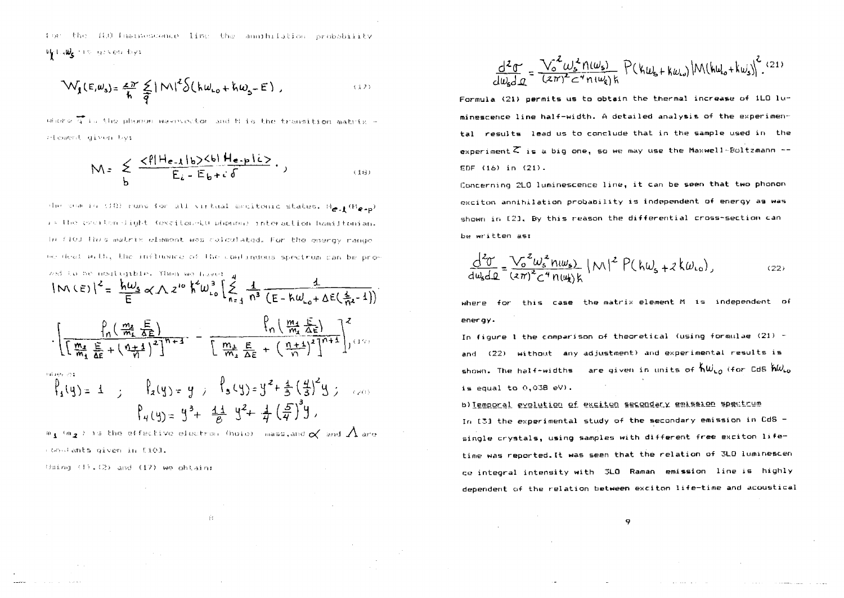for the 100-luminoscence line the annihilation probability Motor Mg 1930 and Service Hoyal

$$
W_{1}(\mathbf{E}, \omega_{s}) = \frac{\mathbf{E} \mathcal{V}}{\hbar} \sum_{i=1}^{m} |N|^{2} \delta(\mathbf{h} \omega_{\mathbf{L}0} + \mathbf{h} \omega_{s} - \mathbf{E}), \qquad (12)
$$

where  $\frac{1}{4}$  is the phonon wavevector and M is the transition matrix releaserd given by:

$$
M = \sum_{b} \frac{\langle f|H_{e-1}|b\rangle\langle b|H_{e-1}|c\rangle}{E_{i}-E_{b}+c\delta}.
$$

the scaling (18) runs for all virtual excitonic states. Helf (He-p) is the excitem light (excitem-tu phonon) interaction hamiltonian. In (10) thos matrix element was coloulated. For the energy range se deal with, the influence of the continuous spectrum can be pro-

$$
\left| N \left( \xi \right) \right|^{2} = \frac{h \omega_{s}}{E} \propto N z^{10} \int_{0}^{2} \omega_{s}^{3} \left[ \sum_{n=3}^{2} \frac{4}{n^{3}} \frac{4}{(E - h \omega_{c} + \Delta E(\frac{4}{n^{2}} - 4))} \right]
$$
  
\n
$$
\cdot \left[ \frac{\int_{0}^{2} \frac{m_{s}}{m_{s}} \frac{E}{\Delta E}}{E + \left( \frac{n+1}{n} \right)^{2} \right]^{n+3}} - \frac{\int_{0}^{2} \left( \frac{m_{s}}{m_{s}} \frac{E}{\Delta E} \right)}{E + \left( \frac{n+1}{n^{2}} \right)^{2} \left[ \frac{n+1}{n^{2}} \right]^{n+3}} \right]^{2}
$$
  
\n
$$
\cdot \left[ \frac{\int_{0}^{2} \frac{m_{s}}{m_{s}} \frac{E}{\Delta E} + \left( \frac{n+1}{n} \right)^{2} \left[ \frac{n+1}{n^{2}} \frac{E}{\Delta E} + \left( \frac{n+1}{n^{2}} \right)^{2} \left[ \frac{n+1}{n^{2}} \right] \right]^{n+3}}{E + \frac{1}{n^{2}} \left( \frac{4}{3} \right)^{2} \left( \frac{n+1}{n^{2}} \right)^{2} \left( \frac{n+1}{n^{2}} \right)^{2}}
$$
  
\n
$$
\int_{0}^{2} \left( \frac{u}{u} \right) = 1 \quad \int_{0}^{2} \left( \frac{u}{u} \right)^{2} \left( \frac{u}{u} \right)^{2} + \frac{1}{n^{2}} \left( \frac{u}{u} \right)^{2} \left( \frac{u}{u} \right)^{2} \left( \frac{u}{u} \right)^{2} \left( \frac{u}{u} \right)^{2}
$$

 $\mathbb{P}_1$  ( $\mathbb{P}_2$ ) is the effective electron (hole) mass, and  $\propto$  and  $\Lambda$  are (Onelants given in E101.

喜

Using  $(1)$ .  $(2)$  and  $(17)$  we obtain:

$$
\frac{d^2\sigma^2}{d w_{s}d\Omega}=\frac{V_{o}^{2}w_{s}^{2}n(\omega_{s})}{(2\pi)^{2}c^{4}n(\omega_{s})k}\text{P}(k\omega_{s}+k\omega_{s})|M(k\omega_{o}+k\omega_{s})|^{2}(21)
$$

Formula (21) permits us to obtain the thermal increase of 1LO luminescence line half-width. A detailed analysis of the experimental results lead us to conclude that in the sample used in the experiment  $\zeta$  is a big one, so we may use the Maxwell-Boltzmann --EDF (16) in (21).

Concerning 2LO luminescence line, it can be seen that two phonon exciton annihilation probability is independent of energy as was shown in [2]. By this reason the differential cross-section can be written as:

$$
\frac{d^2\sigma}{du_{s}d\Omega} = \frac{V_{o}^{2}w_{s}^{2}n(u_{s})}{(2\pi)^{2}c^{4}n(u_{s})k} |M|^{2} P(hw_{s} + 2k\omega_{\text{LO}}),
$$
 (22)

where for this case the matrix element M is independent of ener gy.

In figure 1 the comparison of theoretical (using formulae  $(21)$  and (22) without any adjustment) and experimental results is shown. The half-widths are given in units of  $\hbar\omega_{\mu0}$  (for EdS  $\hbar\omega_{\mu0}$ is equal to  $0.038$  eV).

b)Temporal evolution of exciton secondary emission spectrum In [3] the experimental study of the secondary emission in CdS single crystals, using samples with different free exciton lifetime was reported. It was seen that the relation of 3LD luminescen ce integral intensity with 3LO Raman emission line is highly dependent of the relation between exciton life-time and acoustical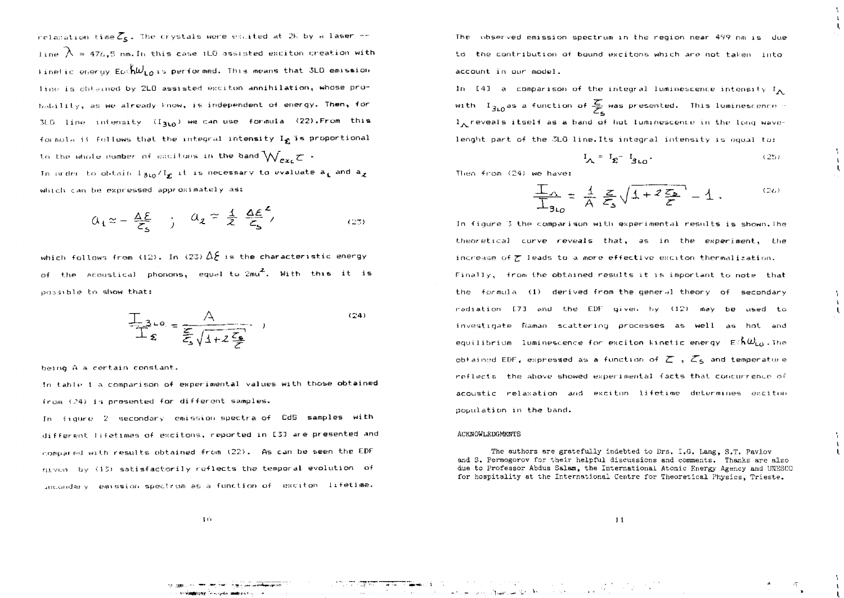relatation time  $\overline{\mathcal{L}}_S$ . The crystals were excited at 2K by a laser --Tine  $\lambda$  = 476.5 nm. In this case 1LO assisted exciton creation with Linetic energy  $E_0$   $\langle h \psi \rangle_{\Omega}$  is performed. This means that 3LD emission line is obtained by 2LB assisted exciton annihilation, whose probability, as we already know, is independent of energy. Then, for 310 line intensity  $(I_{310})$  we can use formula (22). From this formula it follows that the integral intensity  $I_{\mathcal{L}}$  is proportional to the whole number of excitons in the band  $\bigvee_{\alpha\times\alpha}\mathcal{L}$ .

In order to obtain  $1_{3i0}/I_{\mathbb{Z}}$  it is necessary to evaluate  $a_i$  and  $a_{\mathbb{Z}}$ which can be expressed approximately as:

$$
a_1 z - \frac{\Delta \varepsilon}{\zeta_s} \quad ; \quad a_2 z \stackrel{\sim}{=} \frac{4}{z} \frac{\Delta \varepsilon^2}{\zeta_s}, \tag{23}
$$

which follows from (12). In (23)  $\Delta \mathcal{E}$  is the characteristic energy of the acoustical phonons, equal-to-2mu<sup>2</sup>. With this it is possible to show that:

$$
\frac{T}{T}\mathbf{3} \cdot \mathbf{0} = \frac{A}{\sum_{i=1}^{n} \sqrt{1+2\sum_{j=1}^{n} P_{ij}}}
$$
\n(24)

being A a certain constant.

In table 1 a comparison of experimental values with those obtained from (24) is presented for different samples.

In figure 2 secondary emission spectra of CdS samples with different lifetimes of excitons, reported in [3] are presented and compared with results obtained from (22). As can be seen the EDF tuven by (13) satisfactorily reflects the temporal evolution of secondary emission spectrum as a function of exciton lifetime.

The conserved emission spectrum in the region pear  $499$  pm is the to the contribution of bound excitons which are not taken juto account in our model.

In [4] a comparison of the integral luminescence intensity  $I_A$ with  $I_{310}$  as a function of  $\frac{Z}{Z_e}$  was presented. This luminescence - $1_A$  reveals itself as a band of hot luminescente in the long waveleaght part of the 3LO line. Its integral intensity is equal to:

$$
\mathbf{I}_{\mathbf{A}} = \mathbf{I}_{\mathbf{E}} - \mathbf{I}_{\mathbf{3} \mathbf{L} \mathbf{O}}.\tag{25}
$$

Then from (24) we have:

$$
\frac{\Gamma_A}{\Gamma_{3L_0}} = \frac{4}{A} \frac{Z}{\mathcal{E}_s} \sqrt{1 + \frac{Z}{\mathcal{E}_s}} - 4.
$$
 (26)

In figure 3 the comparison with experimental results is shown. The theoretical curve reveals that, as in the experiment, the increase of Z leads to a more effective exciton thermalization. Finally, from the obtained results it is important to note that the formula (1) derived from the general theory of secondary radiation [7] and the EDF given by (12) may be used to investigate Raman scattering processes as well as hot and equilibrium luminescence for exciton kinetic energy  $\mathsf{E}\langle\mathsf{h}\omega_{\text{L}\wedge} \rangle$ . The obtained EDF, expressed as a function of  $\zeta$  ,  $\zeta_{\mathsf{s}}$  and temperature reflects the above showed experimental facts that concurrence of acoustic relaxation and exciton lifetime determines excitud population in the band.

#### ACKNOWLEDGMENTS

The authors are gratefully indebted to Drs. I.G. Lang, S.T. Pavlov and S. Permogorov for their helpful discussions and comments. Thanks are also due to Professor Abdus Salam, the International Atomic Energy Agency and UNESCO for hospitality at the International Centre for Theoretical Physics, Trieste.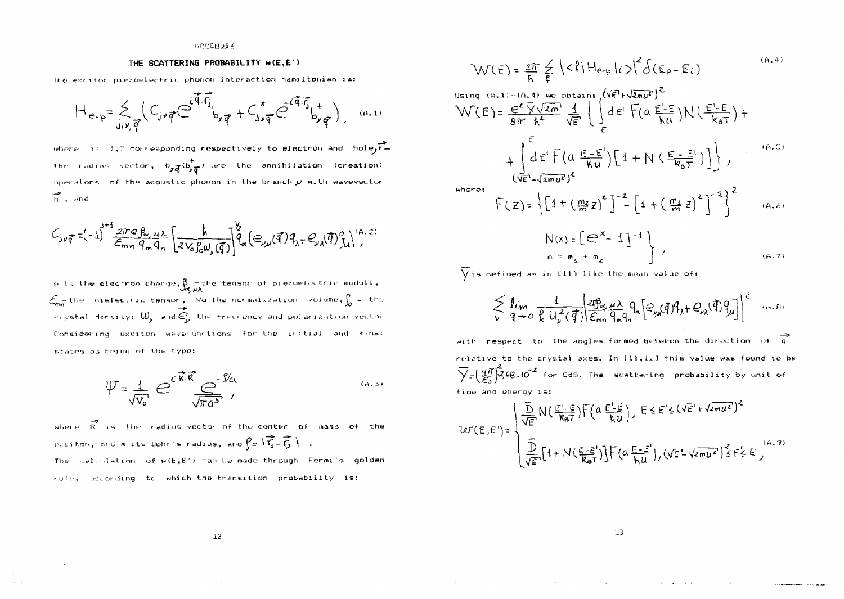#### **APPENDIX**

#### THE SCATTERING PROBABILITY W(E.E')

the excitor piezoelectric phonon interaction hamiltonian is:

$$
H_{e+p} = \sum_{j,\nu,\vec{q}} \left( C_{j\nu\vec{q}} \mathcal{C}^{i\vec{q}.\vec{f}_j} \right)_{\nu,\vec{q}} + C_{j\nu\vec{q}}^* \mathcal{C}^{i\vec{q}.\vec{f}_j} \Big|_{\nu,\vec{q}} + \cdots
$$

where  $v = 1$ ,  $2$  corresponding respectively to electron and hole,  $\overrightarrow{r}$ the radius vector,  $b_{y\vec{q}}(b_{y\vec{q}}^{\dagger})$  are the annihilation (creation) sommators of the acoustic phonon in the branch  $\nu$  with wavevector  $\frac{1}{11}$ , and

$$
C_{j\nu\vec{q}}=(-1)^{j+1}\frac{2\pi e\beta v_{\nu}}{E_{mn}q_{m}q_{n}}\left[\frac{\hbar}{2v_{0}\beta_{0}\omega_{\nu}(\vec{q})}\right]^{y_{2}}_{q_{\alpha}}(e_{\nu\mu}(\vec{q})q_{\lambda}+e_{\nu\lambda}(\vec{q})q_{\lambda})^{(A-2)}_{\mu}
$$

e is the electron charge,  $\beta$  the tensor of piezoelectric moduli,  $\mathcal{E}_{\text{min}}$  the dielectric tensor, Vo the normalization volume,  $\int_{0}$  = the crystal density;  $\omega_{y}$  and  $\vec{\epsilon}_{y}$  the frequency and polarization vector Considering exciton wavefunctions for the initial and final states as being of the type:

$$
\Psi = \frac{1}{\sqrt{V_o}} \mathcal{L}^{\mathcal{C} \overline{K} \cdot \overline{K}} \underbrace{\mathcal{L}^{\mathcal{C} \times \mathcal{C}}}_{\sqrt{\pi} a^3},
$$
\n
$$
(a.3)
$$

where R is the radius vector of the center of mass of the exciton, and a its Bohr's radius, and  $\left( \overrightarrow{r_4} - \overrightarrow{r_2} \right)$ . The calculation of w(E.E.) can be made through Fermi's golden rule, according to which the transition probability is:

$$
W(\vec{E}) = \frac{2\pi}{\hbar} \sum_{\vec{E}} \langle \langle f|H_{e-p}|\vec{c}\rangle \rangle^2 \delta(E_p - E_{\vec{c}})
$$
\nUsing (a, 1) - (a, 4) we obtain:  $(\sqrt{\vec{E}} + \sqrt{2m}a^2)^2$   
\n
$$
W(\vec{E}) = \frac{e^z \overline{y} \sqrt{2m}}{8\pi \hbar^2} \frac{1}{\sqrt{\vec{E}}} \left\{ \int_{\vec{E}} d\vec{E} \cdot \overline{F} (\alpha \frac{E - E}{k\mu}) N \left( \frac{E - E}{k_{0}T} \right) + \int_{\vec{E}} \overline{E} \frac{1}{\sqrt{\vec{E}} \cdot \overline{F}} \left( \alpha \frac{E - E}{k\mu} \right) N \left( \frac{E - E}{k_{0}T} \right) \right\},
$$
\nwhere:  
\n
$$
W(\vec{E}) = \sqrt{2m}a^2 y^2
$$
\nwhere:  
\n
$$
\overline{F}(z) = \left\{ \left[ 4 + \left( \frac{m_2}{m_1} z \right)^2 \right]^{-2} - \left[ 4 + \left( \frac{m_1}{m_1} z \right)^2 \right]^{-2} \right\}^2
$$
\n(A, 6)

$$
N(x) = \left[\frac{e^{x} - 1}{x} \right]
$$
  
\n
$$
m = m_1 + m_2
$$
 (a.7)

 $\overline{\bigvee}$  is defined as in [11] like the mean value of:

$$
\sum_{\nu} \lim_{q \to \infty} \frac{1}{\int_{\Omega} u_{\nu}^{2}(\vec{q})} \left| \frac{2 \eta \beta_{\alpha, \mu \lambda}}{\mathcal{E}_{mn} q_{m} q_{n}} q_{\kappa} \left[ \mathcal{C}_{\mu}(\vec{q}) q_{\lambda +} \mathcal{C}_{\mu \lambda}(\vec{q}) q_{\mu} \right] \right|^{2} \quad (a, \varepsilon)
$$

جہ<br>with respect to the angles formed between the direction of g relative to the crystal axes. In [11,12] this value was found to be  $\overline{\bigvee_{\mathcal{I}}}\mathcal{I}\left(\frac{4\pi}{\mathcal{E}_2}\right)^2$ ,  $48.10^{-2}$  for CdS. The scattering probability by unit of time and energy is:

$$
w^{r}(E,E') = \begin{cases} \frac{\overline{D}}{\sqrt{E}} N(\frac{E'-E}{R_{\theta}T})F(a \frac{E'-E}{R_{\theta}T}) & E \le E' \le (\sqrt{E} + \sqrt{2mu^{2}})^{2} \\ \frac{\overline{D}}{\sqrt{E}} [1 + N(\frac{E-E'}{R_{\theta}T})]F(a \frac{E-E'}{R_{\theta}T}) / (\sqrt{E} - \sqrt{2mu^{2}})^{2} \le E' \le \int_{0}^{(A,S)} \frac{\overline{D}}{\sqrt{E}} [1 + N(\frac{E-E'}{R_{\theta}T})]F(a \frac{E-E'}{R_{\theta}T}) & E' \le E' \end{cases}
$$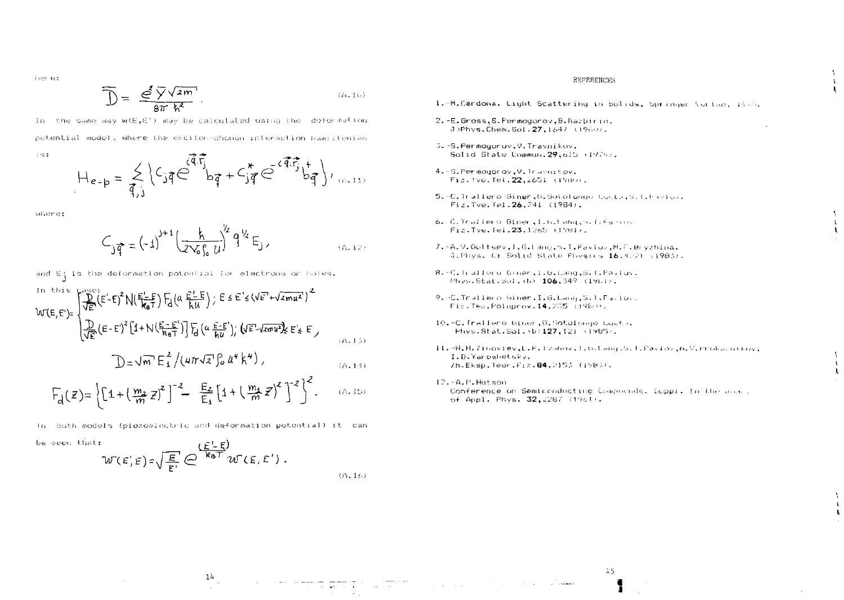**Evented** 

$$
\mathcal{D} = \frac{e^{\frac{d}{2}} \mathcal{V}^{\sqrt{2}m}}{8\pi k^{2}}.
$$
\n(4.10)

In the same way w(E.E.) may be calculated using the deformation potential model, where the exciton-phonon interaction hamiltonian

$$
H_{e-p} = \frac{1}{4} \left\{ C_{j\bar{q}} e^{i\bar{q} \cdot \vec{r}_{j} \overline{q}} + C_{j\bar{q}} \overline{q} e^{-i\bar{q} \cdot \vec{r}_{j} \overline{r}} \right\},
$$

whenet

ાં હ

$$
C_{j\bar{q}} = (-1)^{j+1} \left(\frac{h}{2V_0 \int_a^b u \right)^{1/2} \mathbf{q}^{1/2} \mathbf{E}_{j,1} \tag{0.12}
$$

and E; is the deformation potential for electrons or holes.

In this case:  
\n
$$
W(E, E') = \begin{cases}\n\frac{D}{\sqrt{E}} (E-E)^{2} N(E-E) F_{1}(a E-E) \\
\frac{D}{\sqrt{E}} (E-E)^{2} [1 + N(E-E)] \n\end{cases}
$$
\n
$$
W(E, E') = \begin{cases}\n\frac{D}{\sqrt{E}} (E-E)^{2} [1 + N(E-E)] \n\end{cases}
$$
\n
$$
E_{2}(E-Vzmu^{2}) \times E \times E
$$
\n
$$
W(E, E') = \frac{D}{\sqrt{E}} (E-E)^{2} [1 + N(E-E)] \n\end{cases}
$$
\n
$$
E_{3}^{2} / (4\pi \sqrt{2}) \n\begin{cases}\n\frac{E-E}{hu} \\
\frac{E}{du} \\
\frac{E}{du} \\
\frac{E}{du} \\
\frac{E}{du} \\
\frac{E}{du} \\
\frac{E}{du} \\
\frac{E}{du} \\
\frac{E}{du} \\
\frac{E}{du} \\
\frac{E}{du} \\
\frac{E}{du} \\
\frac{E}{du} \\
\frac{E}{du} \\
\frac{E}{du} \\
\frac{E}{du} \\
\frac{E}{du} \\
\frac{E}{du} \\
\frac{E}{du} \\
\frac{E}{du} \\
\frac{E}{du} \\
\frac{E}{du} \\
\frac{E}{du} \\
\frac{E}{du} \\
\frac{E}{du} \\
\frac{E}{du} \\
\frac{E}{du} \\
\frac{E}{du} \\
\frac{E}{du} \\
\frac{E}{du} \\
\frac{E}{du} \\
\frac{E}{du} \\
\frac{E}{du} \\
\frac{E}{du} \\
\frac{E}{du} \\
\frac{E}{du} \\
\frac{E}{du} \\
\frac{E}{du} \\
\frac{E}{du} \\
\frac{E}{du} \\
\frac{E}{du} \\
\frac{E}{du} \\
\frac{E}{du} \\
\frac{E}{du} \\
\frac{E}{du} \\
\frac{E}{du} \\
\frac{E}{du} \\
\frac{E}{du} \\
\frac{E}{du} \\
\frac{E}{du} \\
\frac{E}{du} \\
\frac{E}{du} \\
\frac{E}{du} \\
\frac{E}{du} \\
\frac{E}{du} \\
\frac{E}{du} \\
\frac{E}{du} \\
\frac{E}{du} \\
\frac{E}{du} \\
\frac{E}{du} \\
\frac{E}{du} \\
\frac{E}{du} \\
\frac{E}{du} \\
\frac{E}{du} \\
\frac{E}{du}
$$

$$
T_{d}(z) = \left\{ \left[ 1 + \left( \frac{m_{z}}{m} z \right)^{z} \right]^{-2} - \frac{E_{z}}{E_{1}} \left[ 1 + \left( \frac{m_{z}}{m} z \right)^{z} \right]^{-2} \right\}^{2}.
$$
 (4.15)

in both models (piezoelectric and deformation potential) it can

be seen that:

$$
\mathcal{W}(\varepsilon,\varepsilon)=\sqrt{\frac{\varepsilon'}{\varepsilon'}}\stackrel{(\varepsilon'-\varepsilon)}{\in} \mathcal{W}(\varepsilon,\varepsilon')\;.
$$

#### **REFERENCES**

- 1. M. Cardona. Light Scattering in Solids, Springer Verlag, 1576.
- 2. E.Gross. 5. Permogorov. B. Razbirin.  $J$ >Phys.Chem.Sol.27,1642 (1960).
- 3. S. Permogorov V. Travnikov. Solid State Commun.29.615 (1979).
- 4. S. Permogorov. V. Travnikov. Fiz. Tve. Tel. 22, 2651 (1980).
- 5.-C.Trallero Giner. 0. Sotolongo Costa, S. L. Pavioz. Fiz.Tve.Tel.26,241 (1984).
- 6. C. Trailero Giner, L.G. Lang, S. (Charmon Fig.Tve.Tel.23.1265 (1981).
- 7. A.V. Goltsev. I.G.Lang. S.T. Pavlov. M.F. Bryzhina. J.Phys. D: Solid State Physics 16.4.21 (1983).
- 8. C.Traffero Gruer, L.G.Lang, S.f.Paztov. Phys.5tat.8ol.(b) 106,349 (1967).
- 9. E. Trallero Giner. I.G. Lang, S. T. Pactor.  $Fig. Test, Poluprov. 14, 235 (198)$
- 10.-C. frailero Giner, O. Sotolongo Custa. Phys.Stat.Sol. (b) 127, 121 (1985).
- 11. H.H.Zinoviev.L.P.Ivanov.L.G.Lang.S.L.Paviov.A.V.Prokaznitov. I.D. Yaroshetsky, Zh.Eksp.Teor.Fiz.B4,2153 (1983).
- 12.-A.P. Hutson

Conference on Semiconducting Compounds. Suppl. to the doct of Appl. Phys. 32, 2287 (1961).

 $15<sub>1</sub>$ 

 $(A.16)$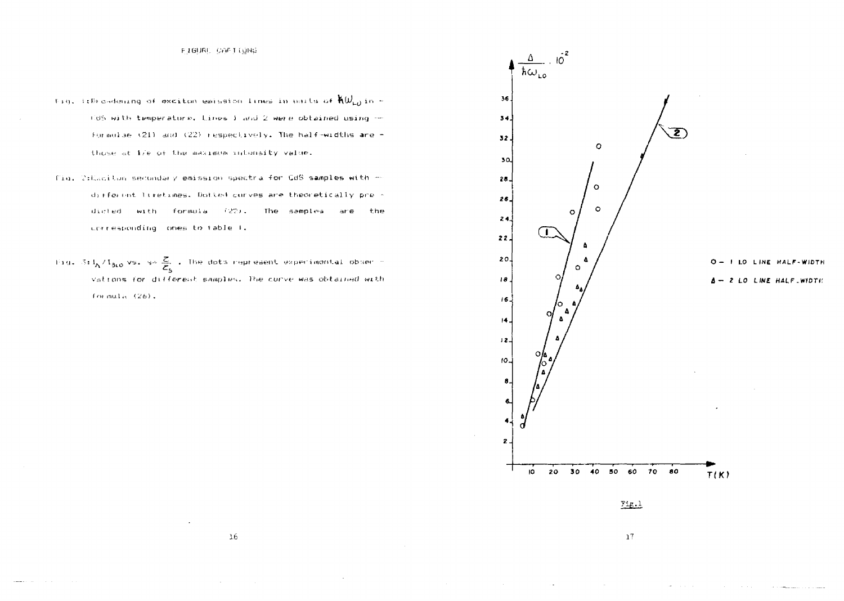- Fig. (:Bro-dening of exciton emission lines in muls of  $\mathsf{KU}_{\square O}$  in -CdS with temperature. Lines I and 2 were obtained using - $\ell$ ormotae (21) and (22) respectively. The half-widths are those at 1/e of the maximum intensity value.
- fig. Titlacitum secondary emission spectra for CdS samples with -different liretimes. Dotted curves are theoretically pre dicted with formula (22). The samples the are corresponding ones to table 1.
- Fig. 3: $l_A / l_{310}$  vs. s=  $\frac{Z}{Z_5}$  . The dots represent experimental obser vations for different samples. The curve was obtained with for mulle  $(26)$ .



 $Fig.1$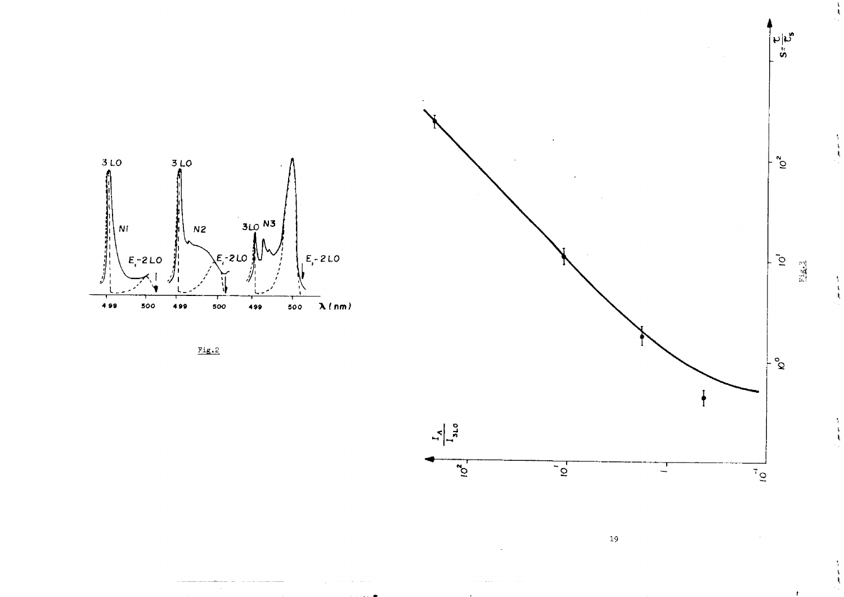



 $\sim 50$ 



 $\mathbf{t}$ 

÷,

 $\mathbf{t}$ 

 $19\,$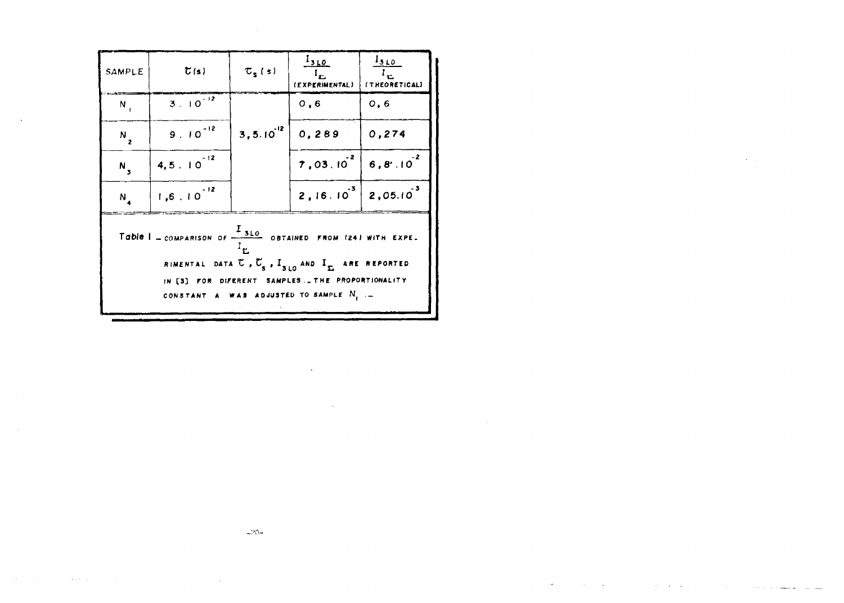| SAMPLE <sup>1</sup>                                                                                                                                                                                                                                                             | $\tilde{C}(s)$          | $\tau_{s}$ (s) | $\frac{1}{360}$<br><i>(EXPERIMENTAL)</i> | $1_{310}$<br><b>(THEORETICAL)</b> |
|---------------------------------------------------------------------------------------------------------------------------------------------------------------------------------------------------------------------------------------------------------------------------------|-------------------------|----------------|------------------------------------------|-----------------------------------|
| $N_{\rm eff}$                                                                                                                                                                                                                                                                   | $3.10^{-12}$            |                | 0,6                                      | 0,6                               |
| $N_{2}$                                                                                                                                                                                                                                                                         | $9.10^{-12}$            | $3, 5.10^{12}$ | 0,289                                    | 0,274                             |
| $N_{3}$                                                                                                                                                                                                                                                                         | 4,5.10 <sup>-12</sup>   |                | $7,03,10^{2}$                            | $\Big  6.8'.10^{-2} \Big $        |
| $N_{\rm A}$                                                                                                                                                                                                                                                                     | $1,6.10$ <sup>-12</sup> |                | $2,16.10^{3}$ $2,05.10^{3}$              |                                   |
| Table I  COMPARISON OF $\frac{1}{2}$ OBTAINED FROM (24) WITH EXPE.<br>RIMENTAL DATA $\mathbb{C}$ , $\mathbb{C}_{\text{s}}$ , $I_{\text{sLO}}$ and $I_{\text{m}}$ are reported<br>IN [3] FOR DIFERENT SAMPLES. THE PROPORTIONALITY<br>CONSTANT A WAS ADJUSTED TO SAMPLE $N_f :=$ |                         |                |                                          |                                   |

 $\label{eq:2.1} \frac{1}{\sqrt{2}}\left(\frac{1}{\sqrt{2}}\right)^{2} \left(\frac{1}{\sqrt{2}}\right)^{2} \left(\frac{1}{\sqrt{2}}\right)^{2} \left(\frac{1}{\sqrt{2}}\right)^{2} \left(\frac{1}{\sqrt{2}}\right)^{2} \left(\frac{1}{\sqrt{2}}\right)^{2} \left(\frac{1}{\sqrt{2}}\right)^{2} \left(\frac{1}{\sqrt{2}}\right)^{2} \left(\frac{1}{\sqrt{2}}\right)^{2} \left(\frac{1}{\sqrt{2}}\right)^{2} \left(\frac{1}{\sqrt{2}}\right)^{2} \left(\$ 

 $\label{eq:2.1} \mathcal{L}(\mathcal{L}(\mathcal{L})) = \mathcal{L}(\mathcal{L}(\mathcal{L})) = \mathcal{L}(\mathcal{L}(\mathcal{L})) = \mathcal{L}(\mathcal{L}(\mathcal{L})) = \mathcal{L}(\mathcal{L}(\mathcal{L})) = \mathcal{L}(\mathcal{L}(\mathcal{L})) = \mathcal{L}(\mathcal{L}(\mathcal{L})) = \mathcal{L}(\mathcal{L}(\mathcal{L})) = \mathcal{L}(\mathcal{L}(\mathcal{L})) = \mathcal{L}(\mathcal{L}(\mathcal{L})) = \mathcal{L}(\mathcal{L}(\mathcal{L})) = \math$ 

 $\label{eq:2.1} \mathcal{L}(\mathcal{L}(\mathcal{L})) = \mathcal{L}(\mathcal{L}(\mathcal{L})) = \mathcal{L}(\mathcal{L}(\mathcal{L})) = \mathcal{L}(\mathcal{L}(\mathcal{L})) = \mathcal{L}(\mathcal{L}(\mathcal{L})) = \mathcal{L}(\mathcal{L}(\mathcal{L})) = \mathcal{L}(\mathcal{L}(\mathcal{L})) = \mathcal{L}(\mathcal{L}(\mathcal{L})) = \mathcal{L}(\mathcal{L}(\mathcal{L})) = \mathcal{L}(\mathcal{L}(\mathcal{L})) = \mathcal{L}(\mathcal{L}(\mathcal{L})) = \math$ 

 $\mathcal{L}^{\mathcal{L}}(\mathcal{L}^{\mathcal{L}})$  and  $\mathcal{L}^{\mathcal{L}}(\mathcal{L}^{\mathcal{L}})$  and  $\mathcal{L}^{\mathcal{L}}(\mathcal{L}^{\mathcal{L}})$ 

 $\mathcal{L}^{\text{max}}_{\text{max}}$  , where  $\mathcal{L}^{\text{max}}_{\text{max}}$ 

 $-20-$ 

 $\mathcal{L}(\mathcal{A})$  is a set of the space of the space of the space of the space of the space of the space of the space of the space of the space of the space of the space of the space of the space of the space of the space of